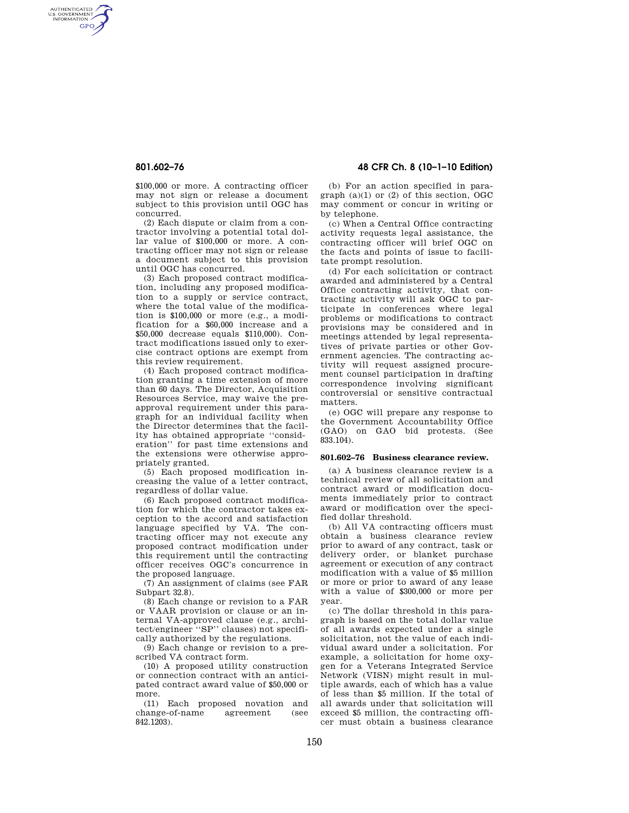AUTHENTICATED<br>U.S. GOVERNMENT<br>INFORMATION **GPO** 

> \$100,000 or more. A contracting officer may not sign or release a document subject to this provision until OGC has concurred.

> (2) Each dispute or claim from a contractor involving a potential total dollar value of \$100,000 or more. A contracting officer may not sign or release a document subject to this provision until OGC has concurred.

> (3) Each proposed contract modification, including any proposed modification to a supply or service contract, where the total value of the modification is \$100,000 or more (e.g., a modification for a \$60,000 increase and a \$50,000 decrease equals \$110,000). Contract modifications issued only to exercise contract options are exempt from this review requirement.

> (4) Each proposed contract modification granting a time extension of more than 60 days. The Director, Acquisition Resources Service, may waive the preapproval requirement under this paragraph for an individual facility when the Director determines that the facility has obtained appropriate ''consideration'' for past time extensions and the extensions were otherwise appropriately granted.

> (5) Each proposed modification increasing the value of a letter contract, regardless of dollar value.

> (6) Each proposed contract modification for which the contractor takes exception to the accord and satisfaction language specified by VA. The contracting officer may not execute any proposed contract modification under this requirement until the contracting officer receives OGC's concurrence in the proposed language.

> (7) An assignment of claims (see FAR Subpart 32.8).

> (8) Each change or revision to a FAR or VAAR provision or clause or an internal VA-approved clause (e.g., architect/engineer ''SP'' clauses) not specifically authorized by the regulations.

> (9) Each change or revision to a prescribed VA contract form.

> (10) A proposed utility construction or connection contract with an anticipated contract award value of \$50,000 or more.

> (11) Each proposed novation and change-of-name agreement (see 842.1203).

# **801.602–76 48 CFR Ch. 8 (10–1–10 Edition)**

(b) For an action specified in paragraph  $(a)(1)$  or  $(2)$  of this section, OGC may comment or concur in writing or by telephone.

(c) When a Central Office contracting activity requests legal assistance, the contracting officer will brief OGC on the facts and points of issue to facilitate prompt resolution.

(d) For each solicitation or contract awarded and administered by a Central Office contracting activity, that contracting activity will ask OGC to participate in conferences where legal problems or modifications to contract provisions may be considered and in meetings attended by legal representatives of private parties or other Government agencies. The contracting activity will request assigned procurement counsel participation in drafting correspondence involving significant controversial or sensitive contractual matters.

(e) OGC will prepare any response to the Government Accountability Office (GAO) on GAO bid protests. (See 833.104).

### **801.602–76 Business clearance review.**

(a) A business clearance review is a technical review of all solicitation and contract award or modification documents immediately prior to contract award or modification over the specified dollar threshold.

(b) All VA contracting officers must obtain a business clearance review prior to award of any contract, task or delivery order, or blanket purchase agreement or execution of any contract modification with a value of \$5 million or more or prior to award of any lease with a value of \$300,000 or more per year.

(c) The dollar threshold in this paragraph is based on the total dollar value of all awards expected under a single solicitation, not the value of each individual award under a solicitation. For example, a solicitation for home oxygen for a Veterans Integrated Service Network (VISN) might result in multiple awards, each of which has a value of less than \$5 million. If the total of all awards under that solicitation will exceed \$5 million, the contracting officer must obtain a business clearance